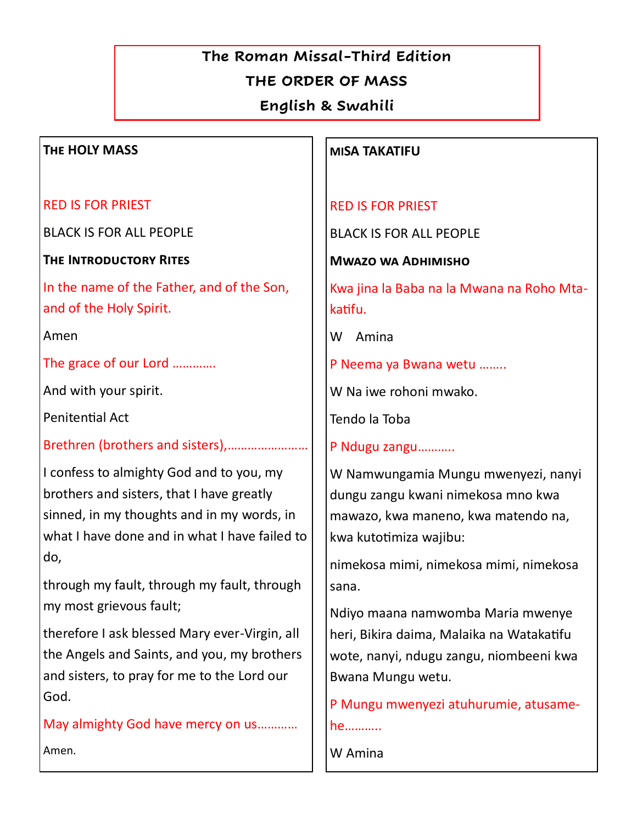# **The Roman Missal-Third Edition**

# **THE ORDER OF MASS**

**English & Swahili**

## **The HOLY MASS**

RED IS FOR PRIEST

BLACK IS FOR ALL PEOPLE

**The Introductory Rites** 

In the name of the Father, and of the Son, and of the Holy Spirit.

Amen

The grace of our Lord ………….

And with your spirit.

Penitential Act

Brethren (brothers and sisters),……………………

I confess to almighty God and to you, my brothers and sisters, that I have greatly sinned, in my thoughts and in my words, in what I have done and in what I have failed to do,

through my fault, through my fault, through my most grievous fault;

therefore I ask blessed Mary ever-Virgin, all the Angels and Saints, and you, my brothers and sisters, to pray for me to the Lord our God.

May almighty God have mercy on us………… Amen.

### **MISA TAKATIFU**

## RED IS FOR PRIEST

BLACK IS FOR ALL PEOPLE

**Mwazo wa Adhimisho**

Kwa jina la Baba na la Mwana na Roho Mtakatifu.

W Amina

P Neema ya Bwana wetu ……..

W Na iwe rohoni mwako.

Tendo la Toba

P Ndugu zangu………..

W Namwungamia Mungu mwenyezi, nanyi dungu zangu kwani nimekosa mno kwa mawazo, kwa maneno, kwa matendo na, kwa kutotimiza wajibu:

nimekosa mimi, nimekosa mimi, nimekosa sana.

Ndiyo maana namwomba Maria mwenye heri, Bikira daima, Malaika na Watakatifu wote, nanyi, ndugu zangu, niombeeni kwa Bwana Mungu wetu.

P Mungu mwenyezi atuhurumie, atusamehe………..

W Amina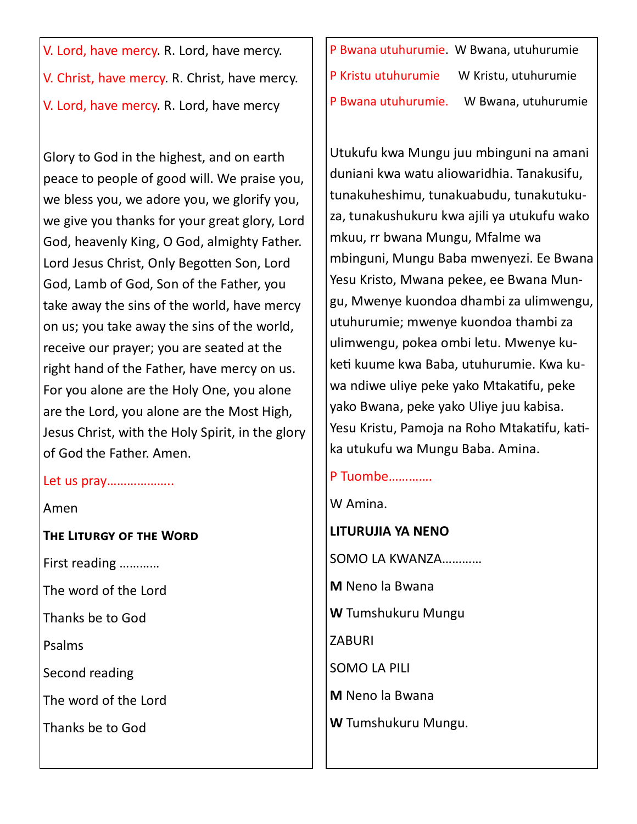V. Lord, have mercy. R. Lord, have mercy. V. Christ, have mercy. R. Christ, have mercy. V. Lord, have mercy. R. Lord, have mercy

Glory to God in the highest, and on earth peace to people of good will. We praise you, we bless you, we adore you, we glorify you, we give you thanks for your great glory, Lord God, heavenly King, O God, almighty Father. Lord Jesus Christ, Only Begotten Son, Lord God, Lamb of God, Son of the Father, you take away the sins of the world, have mercy on us; you take away the sins of the world, receive our prayer; you are seated at the right hand of the Father, have mercy on us. For you alone are the Holy One, you alone are the Lord, you alone are the Most High, Jesus Christ, with the Holy Spirit, in the glory of God the Father. Amen.

#### Let us pray………………..

#### Amen

**The Liturgy of the Word** 

First reading …………

The word of the Lord

Thanks be to God

Psalms

Second reading

The word of the Lord

Thanks be to God

P Bwana utuhurumie. W Bwana, utuhurumie P Kristu utuhurumie W Kristu, utuhurumie P Bwana utuhurumie. W Bwana, utuhurumie

Utukufu kwa Mungu juu mbinguni na amani duniani kwa watu aliowaridhia. Tanakusifu, tunakuheshimu, tunakuabudu, tunakutukuza, tunakushukuru kwa ajili ya utukufu wako mkuu, rr bwana Mungu, Mfalme wa mbinguni, Mungu Baba mwenyezi. Ee Bwana Yesu Kristo, Mwana pekee, ee Bwana Mungu, Mwenye kuondoa dhambi za ulimwengu, utuhurumie; mwenye kuondoa thambi za ulimwengu, pokea ombi letu. Mwenye kuketi kuume kwa Baba, utuhurumie. Kwa kuwa ndiwe uliye peke yako Mtakatifu, peke yako Bwana, peke yako Uliye juu kabisa. Yesu Kristu, Pamoja na Roho Mtakatifu, katika utukufu wa Mungu Baba. Amina.

# P Tuombe………….

W Amina.

**LITURUJIA YA NENO** SOMO LA KWANZA………… **M** Neno la Bwana **W** Tumshukuru Mungu ZABURI SOMO LA PILI **M** Neno la Bwana **W** Tumshukuru Mungu.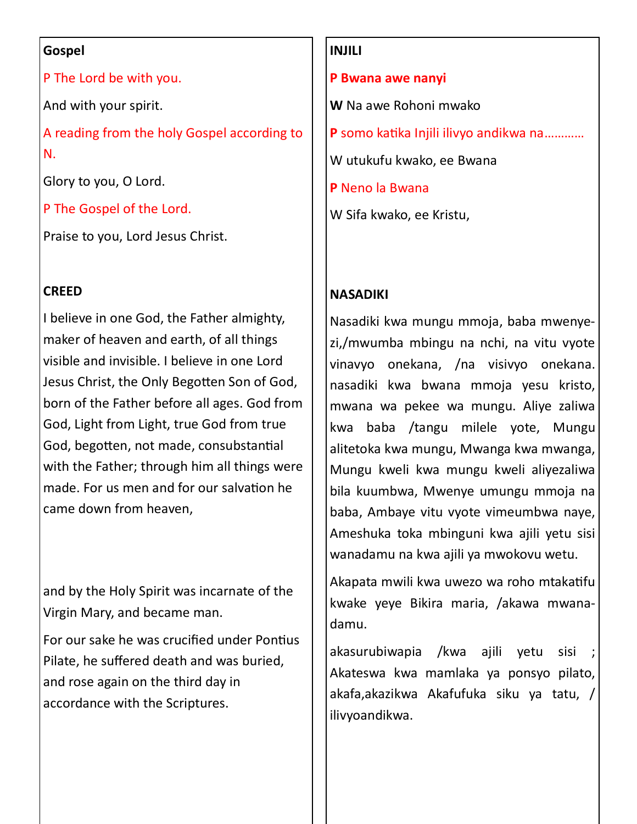#### **Gospel**

P The Lord be with you.

And with your spirit.

A reading from the holy Gospel according to N.

Glory to you, O Lord.

P The Gospel of the Lord.

Praise to you, Lord Jesus Christ.

# **CREED**

I believe in one God, the Father almighty, maker of heaven and earth, of all things visible and invisible. I believe in one Lord Jesus Christ, the Only Begotten Son of God, born of the Father before all ages. God from God, Light from Light, true God from true God, begotten, not made, consubstantial with the Father; through him all things were made. For us men and for our salvation he came down from heaven,

and by the Holy Spirit was incarnate of the Virgin Mary, and became man.

For our sake he was crucified under Pontius Pilate, he suffered death and was buried, and rose again on the third day in accordance with the Scriptures.

## **INJILI**

**P Bwana awe nanyi**

**W** Na awe Rohoni mwako

**P** somo katika Injili ilivyo andikwa na…………

W utukufu kwako, ee Bwana

**P** Neno la Bwana

W Sifa kwako, ee Kristu,

# **NASADIKI**

Nasadiki kwa mungu mmoja, baba mwenyezi,/mwumba mbingu na nchi, na vitu vyote vinavyo onekana, /na visivyo onekana. nasadiki kwa bwana mmoja yesu kristo, mwana wa pekee wa mungu. Aliye zaliwa kwa baba /tangu milele yote, Mungu alitetoka kwa mungu, Mwanga kwa mwanga, Mungu kweli kwa mungu kweli aliyezaliwa bila kuumbwa, Mwenye umungu mmoja na baba, Ambaye vitu vyote vimeumbwa naye, Ameshuka toka mbinguni kwa ajili yetu sisi wanadamu na kwa ajili ya mwokovu wetu.

Akapata mwili kwa uwezo wa roho mtakatifu kwake yeye Bikira maria, /akawa mwanadamu.

akasurubiwapia /kwa ajili yetu sisi ; Akateswa kwa mamlaka ya ponsyo pilato, akafa,akazikwa Akafufuka siku ya tatu, / ilivyoandikwa.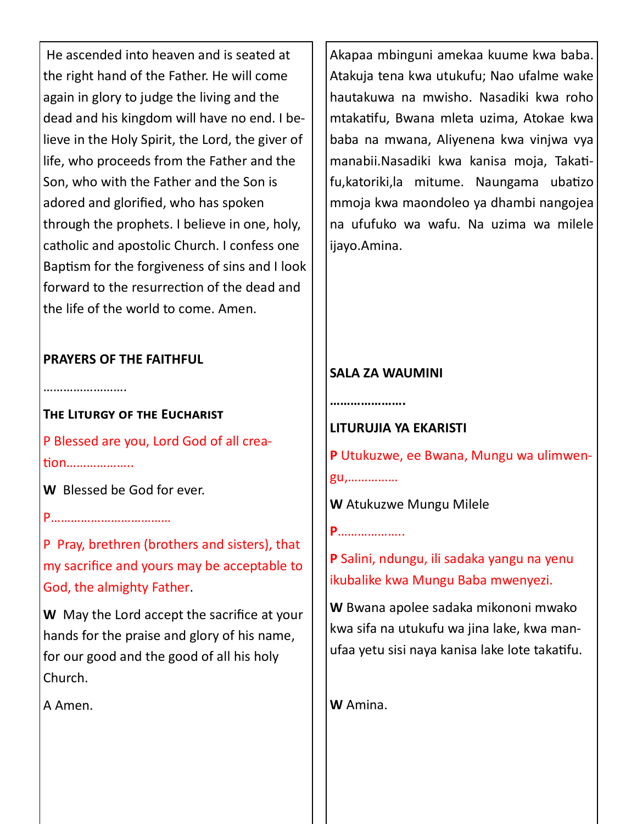He ascended into heaven and is seated at the right hand of the Father. He will come again in glory to judge the living and the dead and his kingdom will have no end. I believe in the Holy Spirit, the Lord, the giver of life, who proceeds from the Father and the Son, who with the Father and the Son is adored and glorified, who has spoken through the prophets. I believe in one, holy, catholic and apostolic Church. I confess one Baptism for the forgiveness of sins and I look forward to the resurrection of the dead and the life of the world to come. Amen.

# **PRAYERS OF THE FAITHFUL**

……………………

**The Liturgy of the Eucharist**  P Blessed are you, Lord God of all crea-

tion………………..

**W** Blessed be God for ever.

P………………………………

P Pray, brethren (brothers and sisters), that my sacrifice and yours may be acceptable to God, the almighty Father.

**W** May the Lord accept the sacrifice at your hands for the praise and glory of his name, for our good and the good of all his holy Church.

A Amen.

Akapaa mbinguni amekaa kuume kwa baba. Atakuja tena kwa utukufu; Nao ufalme wake hautakuwa na mwisho. Nasadiki kwa roho mtakatifu, Bwana mleta uzima, Atokae kwa baba na mwana, Aliyenena kwa vinjwa vya manabii.Nasadiki kwa kanisa moja, Takatifu,katoriki,la mitume. Naungama ubatizo mmoja kwa maondoleo ya dhambi nangojea na ufufuko wa wafu. Na uzima wa milele ijayo.Amina.

# **SALA ZA WAUMINI**

**………………….**

**P**………………..

**LITURUJIA YA EKARISTI**

**P** Utukuzwe, ee Bwana, Mungu wa ulimwengu,……………

**W** Atukuzwe Mungu Milele

**P** Salini, ndungu, ili sadaka yangu na yenu ikubalike kwa Mungu Baba mwenyezi.

**W** Bwana apolee sadaka mikononi mwako kwa sifa na utukufu wa jina lake, kwa manufaa yetu sisi naya kanisa lake lote takatifu.

**W** Amina.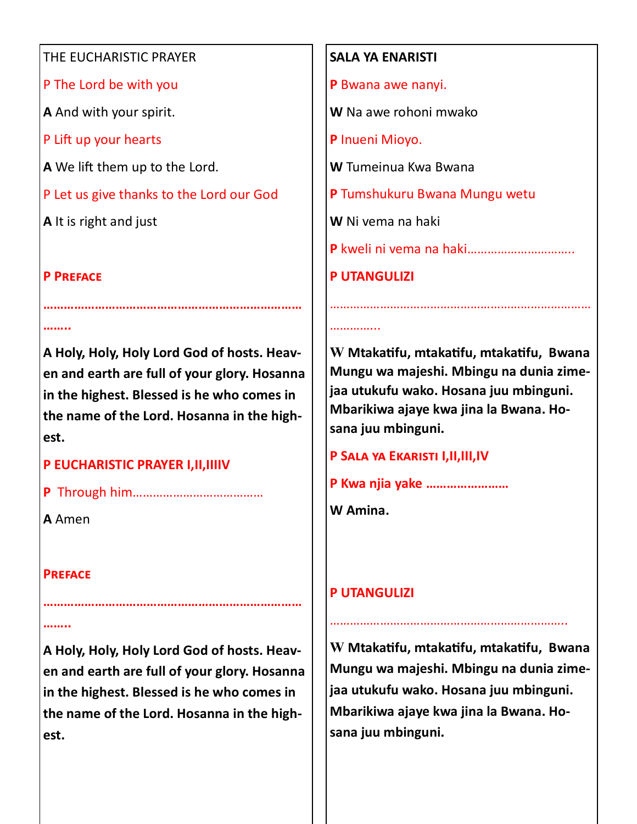#### THE EUCHARISTIC PRAYER

P The Lord be with you

**A** And with your spirit.

P Lift up your hearts

**A** We lift them up to the Lord.

P Let us give thanks to the Lord our God

**A** It is right and just

# **P Preface**

**……..**

**A Holy, Holy, Holy Lord God of hosts. Heaven and earth are full of your glory. Hosanna in the highest. Blessed is he who comes in the name of the Lord. Hosanna in the highest.** 

**…………………………………………………………………**

# **P EUCHARISTIC PRAYER I,II,IIIIV**

**P** Through him…………………………………

**A** Amen

### **Preface**

**……..**

**A Holy, Holy, Holy Lord God of hosts. Heaven and earth are full of your glory. Hosanna in the highest. Blessed is he who comes in the name of the Lord. Hosanna in the highest.** 

**…………………………………………………………………**

### **SALA YA ENARISTI**

**P** Bwana awe nanyi.

**W** Na awe rohoni mwako

**P** Inueni Mioyo.

**W** Tumeinua Kwa Bwana

**P** Tumshukuru Bwana Mungu wetu

**W** Ni vema na haki

**P** kweli ni vema na haki…………………………..

**P UTANGULIZI** 

…………

**W Mtakatifu, mtakatifu, mtakatifu, Bwana Mungu wa majeshi. Mbingu na dunia zimejaa utukufu wako. Hosana juu mbinguni. Mbarikiwa ajaye kwa jina la Bwana. Hosana juu mbinguni.**

……………………………………………………………………

**P Sala ya Ekaristi I,II,III,IV**

**P Kwa njia yake ……………………**

**W Amina.**

# **P UTANGULIZI**

**W Mtakatifu, mtakatifu, mtakatifu, Bwana Mungu wa majeshi. Mbingu na dunia zimejaa utukufu wako. Hosana juu mbinguni. Mbarikiwa ajaye kwa jina la Bwana. Hosana juu mbinguni.**

……………………………………………………………..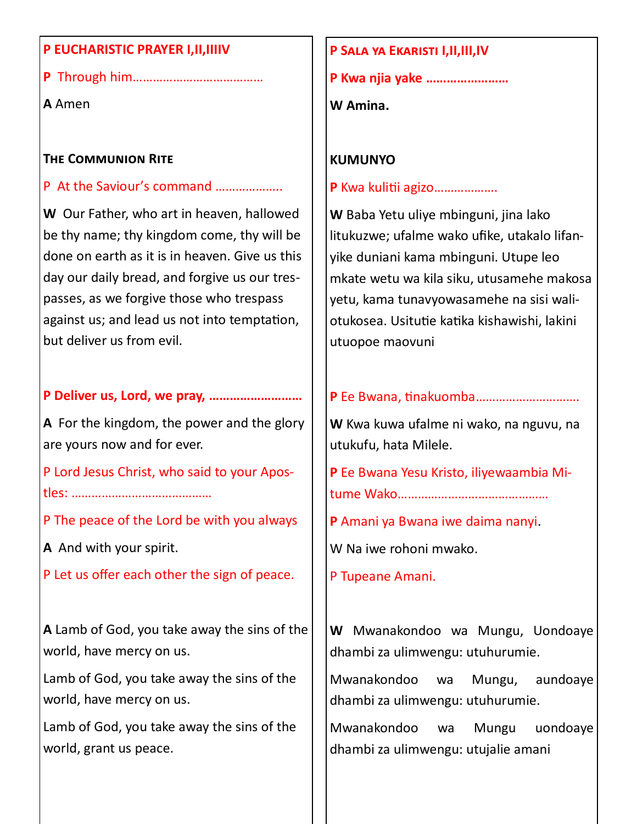#### **P EUCHARISTIC PRAYER I,II,IIIIV**

**P** Through him…………………………………

**A** Amen

#### **The Communion Rite**

#### P At the Saviour's command ………………..

**W** Our Father, who art in heaven, hallowed be thy name; thy kingdom come, thy will be done on earth as it is in heaven. Give us this day our daily bread, and forgive us our trespasses, as we forgive those who trespass against us; and lead us not into temptation, but deliver us from evil.

## **P Deliver us, Lord, we pray, ………………………**

**A** For the kingdom, the power and the glory are yours now and for ever.

P Lord Jesus Christ, who said to your Apostles: ……………………………………

P The peace of the Lord be with you always

**A** And with your spirit.

P Let us offer each other the sign of peace.

**A** Lamb of God, you take away the sins of the world, have mercy on us.

Lamb of God, you take away the sins of the world, have mercy on us.

Lamb of God, you take away the sins of the world, grant us peace.

#### **P Sala ya Ekaristi I,II,III,IV**

**P Kwa njia yake ……………………**

**W Amina.**

## **KUMUNYO**

**P** Kwa kulitii agizo……………….

**W** Baba Yetu uliye mbinguni, jina lako litukuzwe; ufalme wako ufike, utakalo lifanyike duniani kama mbinguni. Utupe leo mkate wetu wa kila siku, utusamehe makosa yetu, kama tunavyowasamehe na sisi waliotukosea. Usitutie katika kishawishi, lakini utuopoe maovuni

### **P** Ee Bwana, tinakuomba………………………….

**W** Kwa kuwa ufalme ni wako, na nguvu, na utukufu, hata Milele.

**P** Ee Bwana Yesu Kristo, iliyewaambia Mitume Wako………………………………………

**P** Amani ya Bwana iwe daima nanyi.

W Na iwe rohoni mwako.

P Tupeane Amani.

**W** Mwanakondoo wa Mungu, Uondoaye dhambi za ulimwengu: utuhurumie.

Mwanakondoo wa Mungu, aundoaye dhambi za ulimwengu: utuhurumie.

Mwanakondoo wa Mungu uondoaye dhambi za ulimwengu: utujalie amani